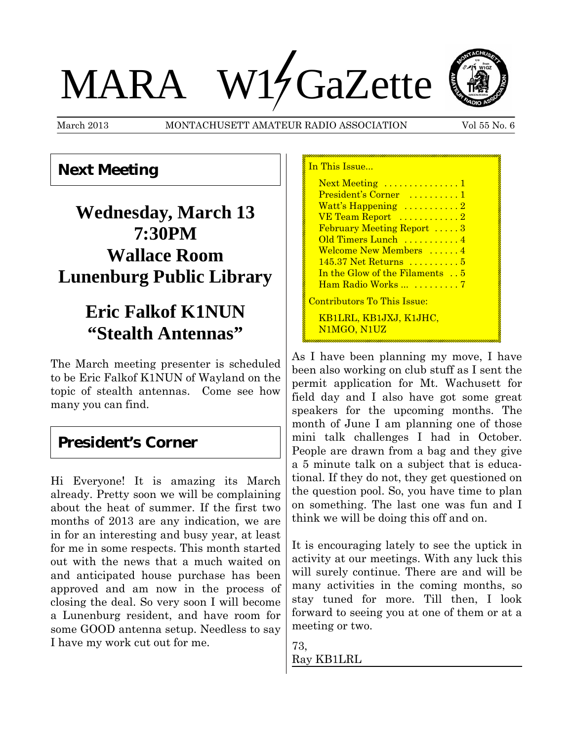# MARA W17 GaZette



March 2013 MONTACHUSETT AMATEUR RADIO ASSOCIATION Vol 55 No. 6

#### **Next Meeting**

## **Wednesday, March 13 7:30PM Wallace Room Lunenburg Public Library**

## **Eric Falkof K1NUN "Stealth Antennas"**

The March meeting presenter is scheduled to be Eric Falkof K1NUN of Wayland on the topic of stealth antennas. Come see how many you can find.

#### **President's Corner**

Hi Everyone! It is amazing its March already. Pretty soon we will be complaining about the heat of summer. If the first two months of 2013 are any indication, we are in for an interesting and busy year, at least for me in some respects. This month started out with the news that a much waited on and anticipated house purchase has been approved and am now in the process of closing the deal. So very soon I will become a Lunenburg resident, and have room for some GOOD antenna setup. Needless to say I have my work cut out for me.

| In This Issue                          |  |
|----------------------------------------|--|
| Next Meeting  1                        |  |
| President's Corner  1                  |  |
| Watt's Happening $\dots \dots \dots 2$ |  |
| VE Team Report 2                       |  |
| <b>February Meeting Report</b> 3       |  |
| Old Timers Lunch 4                     |  |
| Welcome New Members  4                 |  |
| 145.37 Net Returns  5                  |  |
| In the Glow of the Filaments 5         |  |
| Ham Radio Works  7                     |  |
| <u> Contributors To This Issue:</u>    |  |
| <u>KB1LRL, KB1JXJ, K1JHC,</u>          |  |

N1MGO, N1UZ

As I have been planning my move, I have been also working on club stuff as I sent the permit application for Mt. Wachusett for field day and I also have got some great speakers for the upcoming months. The month of June I am planning one of those mini talk challenges I had in October. People are drawn from a bag and they give a 5 minute talk on a subject that is educational. If they do not, they get questioned on the question pool. So, you have time to plan on something. The last one was fun and I think we will be doing this off and on.

It is encouraging lately to see the uptick in activity at our meetings. With any luck this will surely continue. There are and will be many activities in the coming months, so stay tuned for more. Till then, I look forward to seeing you at one of them or at a meeting or two.

73, Ray KB1LRL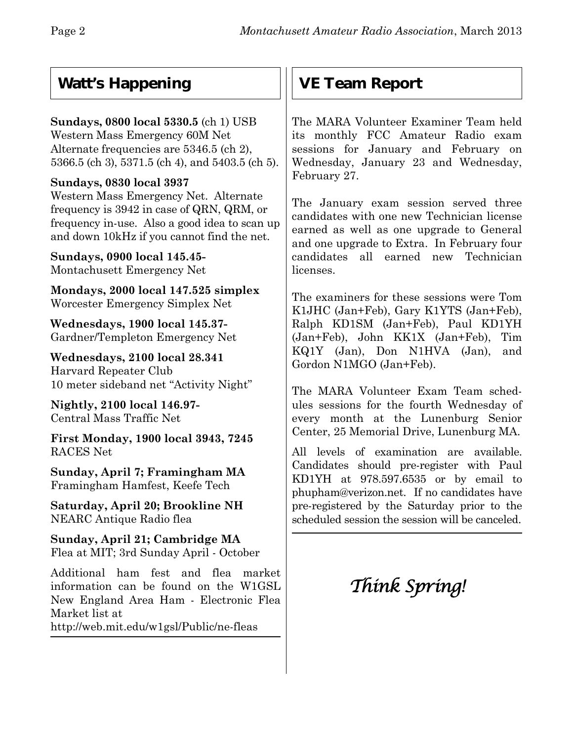### **Watt's Happening**

#### **Sundays, 0800 local 5330.5** (ch 1) USB

Western Mass Emergency 60M Net Alternate frequencies are 5346.5 (ch 2), 5366.5 (ch 3), 5371.5 (ch 4), and 5403.5 (ch 5).

#### **Sundays, 0830 local 3937**

Western Mass Emergency Net. Alternate frequency is 3942 in case of QRN, QRM, or frequency in-use. Also a good idea to scan up and down 10kHz if you cannot find the net.

**Sundays, 0900 local 145.45-** Montachusett Emergency Net

**Mondays, 2000 local 147.525 simplex** Worcester Emergency Simplex Net

**Wednesdays, 1900 local 145.37-** Gardner/Templeton Emergency Net

**Wednesdays, 2100 local 28.341** Harvard Repeater Club 10 meter sideband net "Activity Night"

**Nightly, 2100 local 146.97-** Central Mass Traffic Net

**First Monday, 1900 local 3943, 7245** RACES Net

**Sunday, April 7; Framingham MA** Framingham Hamfest, Keefe Tech

**Saturday, April 20; Brookline NH** NEARC Antique Radio flea

**Sunday, April 21; Cambridge MA** Flea at MIT; 3rd Sunday April - October

Additional ham fest and flea market information can be found on the W1GSL New England Area Ham - Electronic Flea Market list at

http://web.mit.edu/w1gsl/Public/ne-fleas

## **VE Team Report**

The MARA Volunteer Examiner Team held its monthly FCC Amateur Radio exam sessions for January and February on Wednesday, January 23 and Wednesday, February 27.

The January exam session served three candidates with one new Technician license earned as well as one upgrade to General and one upgrade to Extra. In February four candidates all earned new Technician licenses.

The examiners for these sessions were Tom K1JHC (Jan+Feb), Gary K1YTS (Jan+Feb), Ralph KD1SM (Jan+Feb), Paul KD1YH (Jan+Feb), John KK1X (Jan+Feb), Tim KQ1Y (Jan), Don N1HVA (Jan), and Gordon N1MGO (Jan+Feb).

The MARA Volunteer Exam Team schedules sessions for the fourth Wednesday of every month at the Lunenburg Senior Center, 25 Memorial Drive, Lunenburg MA.

All levels of examination are available. Candidates should pre-register with Paul KD1YH at 978.597.6535 or by email to phupham@verizon.net.If no candidates have pre-registered by the Saturday prior to the scheduled session the session will be canceled.

## *Think Spring!*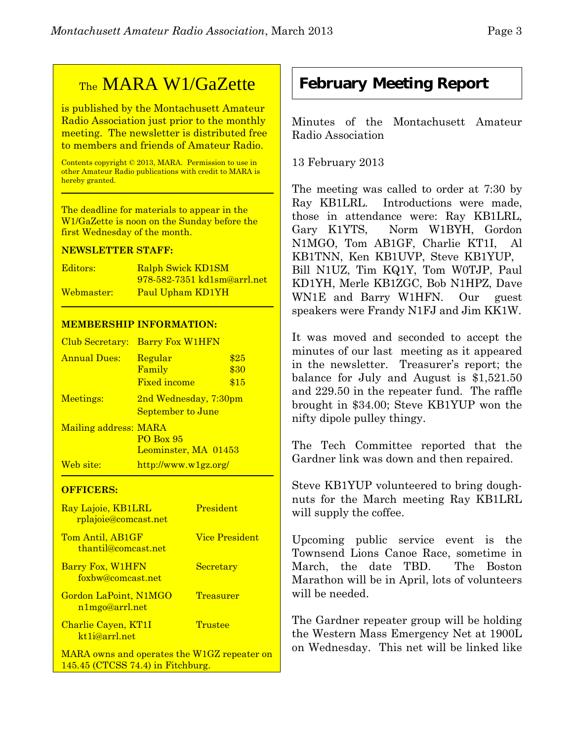# **February Meeting Report**

Minutes of the Montachusett Amateur Radio Association

13 February 2013

The meeting was called to order at 7:30 by Ray KB1LRL. Introductions were made, those in attendance were: Ray KB1LRL, Gary K1YTS, Norm W1BYH, Gordon N1MGO, Tom AB1GF, Charlie KT1I, Al KB1TNN, Ken KB1UVP, Steve KB1YUP, Bill N1UZ, Tim KQ1Y, Tom W0TJP, Paul KD1YH, Merle KB1ZGC, Bob N1HPZ, Dave WN1E and Barry W1HFN. Our guest speakers were Frandy N1FJ and Jim KK1W.

It was moved and seconded to accept the minutes of our last meeting as it appeared in the newsletter. Treasurer's report; the balance for July and August is \$1,521.50 and 229.50 in the repeater fund. The raffle brought in \$34.00; Steve KB1YUP won the nifty dipole pulley thingy.

The Tech Committee reported that the Gardner link was down and then repaired.

Steve KB1YUP volunteered to bring doughnuts for the March meeting Ray KB1LRL will supply the coffee.

Upcoming public service event is the Townsend Lions Canoe Race, sometime in March, the date TBD. The Boston Marathon will be in April, lots of volunteers will be needed.

The Gardner repeater group will be holding the Western Mass Emergency Net at 1900L on Wednesday. This net will be linked like

## TheMARA W1/GaZette

is published by the Montachusett Amateur Radio Association just prior to the monthly meeting. The newsletter is distributed free to members and friends of Amateur Radio.

Contents copyright © 2013, MARA. Permission to use in other Amateur Radio publications with credit to MARA is hereby granted.

The deadline for materials to appear in the W1/GaZette is noon on the Sunday before the first Wednesday of the month.

#### **NEWSLETTER STAFF:**

| Editors:   | Ralph Swick KD1SM                  |
|------------|------------------------------------|
|            | <u>978-582-7351 kd1sm@arrl.net</u> |
| Webmaster: | Paul Upham KD1YH                   |

#### **MEMBERSHIP INFORMATION:**

| Club Secretary:       | <b>Barry Fox W1HFN</b>                            |              |
|-----------------------|---------------------------------------------------|--------------|
| <b>Annual Dues:</b>   | Regular<br>Family                                 | \$25<br>\$30 |
|                       | <b>Fixed income</b>                               | \$15         |
| Meetings:             | 2nd Wednesday, 7:30pm<br><b>September to June</b> |              |
| Mailing address: MARA | <b>PO Box 95</b><br>Leominster, MA 01453          |              |
| Web site:             | http://www.w1gz.org/                              |              |

#### **OFFICERS:**

| Ray Lajoie, KB1LRL<br><u>rplajoie@comcast.net</u> | <b>President</b> |
|---------------------------------------------------|------------------|
| Tom Antil, AB1GF<br>thantil@comcast.net           | Vice President   |
| Barry Fox, W1HFN<br>foxbw@comcast.net             | Secretary        |
| Gordon LaPoint, N1MGO<br>n1mgo@arrl.net           | <b>Treasurer</b> |
| Charlie Cayen, KT1I<br>kt <sub>1</sub> i@arrl.net | Trustee          |
| MARA owns and operates the W1GZ repeater on       |                  |

145.45 (CTCSS 74.4) in Fitchburg.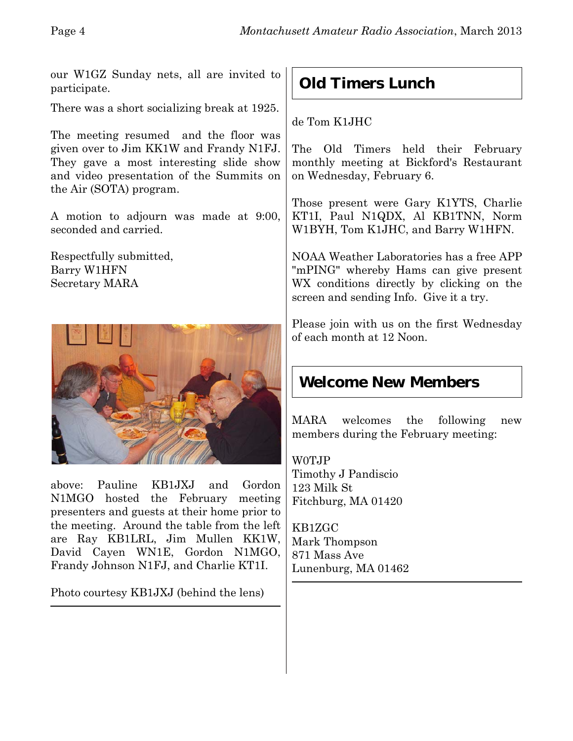our W1GZ Sunday nets, all are invited to participate.

There was a short socializing break at 1925.

The meeting resumed and the floor was given over to Jim KK1W and Frandy N1FJ. They gave a most interesting slide show and video presentation of the Summits on the Air (SOTA) program.

A motion to adjourn was made at 9:00, seconded and carried.

Respectfully submitted, Barry W1HFN Secretary MARA



above: Pauline KB1JXJ and Gordon N1MGO hosted the February meeting presenters and guests at their home prior to the meeting. Around the table from the left are Ray KB1LRL, Jim Mullen KK1W, David Cayen WN1E, Gordon N1MGO, Frandy Johnson N1FJ, and Charlie KT1I.

Photo courtesy KB1JXJ (behind the lens)

## **Old Timers Lunch**

de Tom K1JHC

The Old Timers held their February monthly meeting at Bickford's Restaurant on Wednesday, February 6.

Those present were Gary K1YTS, Charlie KT1I, Paul N1QDX, Al KB1TNN, Norm W1BYH, Tom K1JHC, and Barry W1HFN.

NOAA Weather Laboratories has a free APP "mPING" whereby Hams can give present WX conditions directly by clicking on the screen and sending Info. Give it a try.

Please join with us on the first Wednesday of each month at 12 Noon.

## **Welcome New Members**

MARA welcomes the following new members during the February meeting:

W0TJP Timothy J Pandiscio 123 Milk St Fitchburg, MA 01420

KB1ZGC Mark Thompson 871 Mass Ave Lunenburg, MA 01462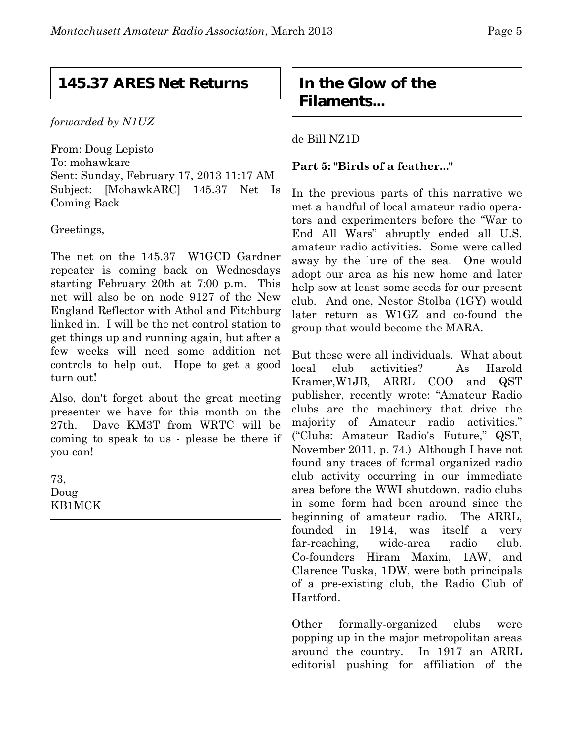#### **145.37 ARES Net Returns**

*forwarded by N1UZ*

From: Doug Lepisto To: mohawkarc Sent: Sunday, February 17, 2013 11:17 AM Subject: [MohawkARC] 145.37 Net Is Coming Back

Greetings,

The net on the 145.37 W1GCD Gardner repeater is coming back on Wednesdays starting February 20th at 7:00 p.m. This net will also be on node 9127 of the New England Reflector with Athol and Fitchburg linked in. I will be the net control station to get things up and running again, but after a few weeks will need some addition net controls to help out. Hope to get a good turn out!

Also, don't forget about the great meeting presenter we have for this month on the 27th. Dave KM3T from WRTC will be coming to speak to us - please be there if you can!

73, Doug KB1MCK

#### **In the Glow of the Filaments...**

de Bill NZ1D

#### **Part 5: "Birds of a feather..."**

In the previous parts of this narrative we met a handful of local amateur radio operators and experimenters before the "War to End All Wars" abruptly ended all U.S. amateur radio activities. Some were called away by the lure of the sea. One would adopt our area as his new home and later help sow at least some seeds for our present club. And one, Nestor Stolba (1GY) would later return as W1GZ and co-found the group that would become the MARA.

But these were all individuals. What about local club activities? As Harold Kramer,W1JB, ARRL COO and QST publisher, recently wrote: "Amateur Radio clubs are the machinery that drive the majority of Amateur radio activities." ("Clubs: Amateur Radio's Future," QST, November 2011, p. 74.) Although I have not found any traces of formal organized radio club activity occurring in our immediate area before the WWI shutdown, radio clubs in some form had been around since the beginning of amateur radio. The ARRL, founded in 1914, was itself a very far-reaching, wide-area radio club. Co-founders Hiram Maxim, 1AW, and Clarence Tuska, 1DW, were both principals of a pre-existing club, the Radio Club of Hartford.

Other formally-organized clubs were popping up in the major metropolitan areas around the country. In 1917 an ARRL editorial pushing for affiliation of the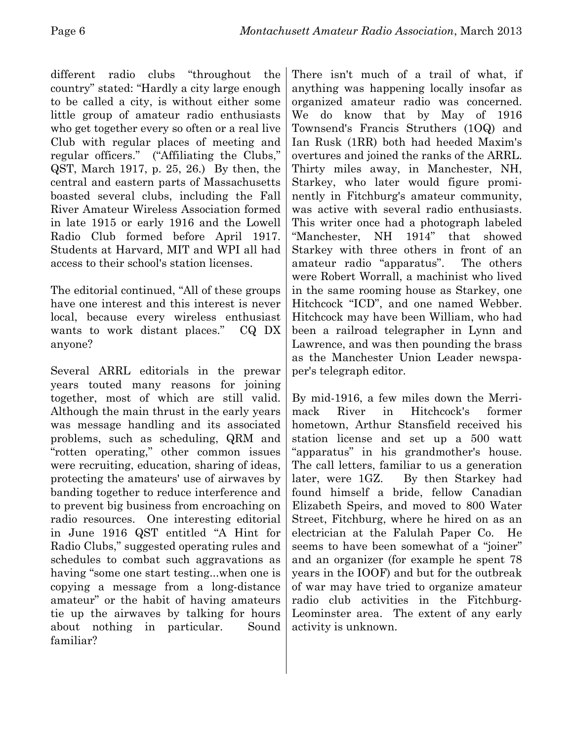different radio clubs "throughout the country" stated: "Hardly a city large enough to be called a city, is without either some little group of amateur radio enthusiasts who get together every so often or a real live Club with regular places of meeting and regular officers." ("Affiliating the Clubs," QST, March 1917, p. 25, 26.) By then, the central and eastern parts of Massachusetts boasted several clubs, including the Fall River Amateur Wireless Association formed in late 1915 or early 1916 and the Lowell Radio Club formed before April 1917. Students at Harvard, MIT and WPI all had access to their school's station licenses.

The editorial continued, "All of these groups have one interest and this interest is never local, because every wireless enthusiast wants to work distant places." CQ DX anyone?

Several ARRL editorials in the prewar years touted many reasons for joining together, most of which are still valid. Although the main thrust in the early years was message handling and its associated problems, such as scheduling, QRM and "rotten operating," other common issues were recruiting, education, sharing of ideas, protecting the amateurs' use of airwaves by banding together to reduce interference and to prevent big business from encroaching on radio resources. One interesting editorial in June 1916 QST entitled "A Hint for Radio Clubs," suggested operating rules and schedules to combat such aggravations as having "some one start testing...when one is copying a message from a long-distance amateur" or the habit of having amateurs tie up the airwaves by talking for hours about nothing in particular. Sound familiar?

There isn't much of a trail of what, if anything was happening locally insofar as organized amateur radio was concerned. We do know that by May of 1916 Townsend's Francis Struthers (1OQ) and Ian Rusk (1RR) both had heeded Maxim's overtures and joined the ranks of the ARRL. Thirty miles away, in Manchester, NH, Starkey, who later would figure prominently in Fitchburg's amateur community, was active with several radio enthusiasts. This writer once had a photograph labeled "Manchester, NH 1914" that showed Starkey with three others in front of an amateur radio "apparatus". The others were Robert Worrall, a machinist who lived in the same rooming house as Starkey, one Hitchcock "ICD", and one named Webber. Hitchcock may have been William, who had been a railroad telegrapher in Lynn and Lawrence, and was then pounding the brass as the Manchester Union Leader newspaper's telegraph editor.

By mid-1916, a few miles down the Merrimack River in Hitchcock's former hometown, Arthur Stansfield received his station license and set up a 500 watt "apparatus" in his grandmother's house. The call letters, familiar to us a generation later, were 1GZ. By then Starkey had found himself a bride, fellow Canadian Elizabeth Speirs, and moved to 800 Water Street, Fitchburg, where he hired on as an electrician at the Falulah Paper Co. He seems to have been somewhat of a "joiner" and an organizer (for example he spent 78 years in the IOOF) and but for the outbreak of war may have tried to organize amateur radio club activities in the Fitchburg-Leominster area. The extent of any early activity is unknown.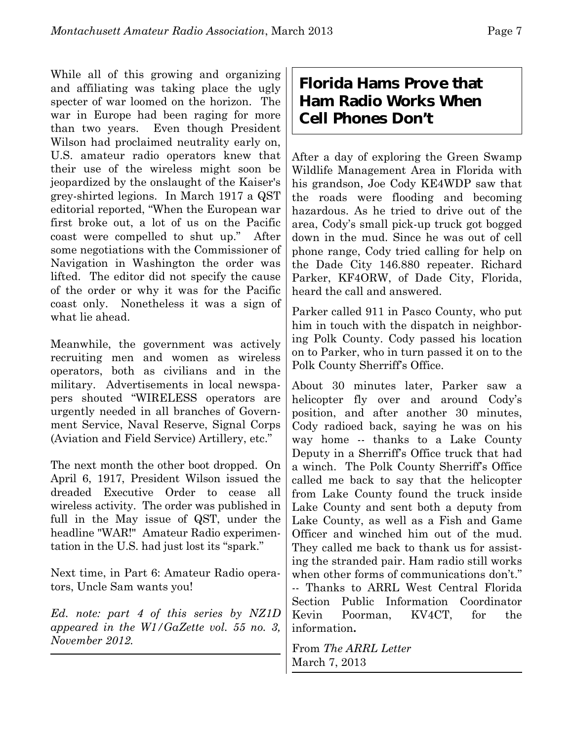While all of this growing and organizing and affiliating was taking place the ugly specter of war loomed on the horizon. The war in Europe had been raging for more than two years. Even though President Wilson had proclaimed neutrality early on, U.S. amateur radio operators knew that their use of the wireless might soon be jeopardized by the onslaught of the Kaiser's grey-shirted legions. In March 1917 a QST editorial reported, "When the European war first broke out, a lot of us on the Pacific coast were compelled to shut up." After some negotiations with the Commissioner of Navigation in Washington the order was lifted. The editor did not specify the cause of the order or why it was for the Pacific coast only. Nonetheless it was a sign of what lie ahead.

Meanwhile, the government was actively recruiting men and women as wireless operators, both as civilians and in the military. Advertisements in local newspapers shouted "WIRELESS operators are urgently needed in all branches of Government Service, Naval Reserve, Signal Corps (Aviation and Field Service) Artillery, etc."

The next month the other boot dropped. On April 6, 1917, President Wilson issued the dreaded Executive Order to cease all wireless activity. The order was published in full in the May issue of QST, under the headline "WAR!" Amateur Radio experimentation in the U.S. had just lost its "spark."

Next time, in Part 6: Amateur Radio operators, Uncle Sam wants you!

*Ed. note: part 4 of this series by NZ1D appeared in the W1/GaZette vol. 55 no. 3, November 2012.*

#### **Florida Hams Prove that Ham Radio Works When Cell Phones Don't**

After a day of exploring the Green Swamp Wildlife Management Area in Florida with his grandson, Joe Cody KE4WDP saw that the roads were flooding and becoming hazardous. As he tried to drive out of the area, Cody's small pick-up truck got bogged down in the mud. Since he was out of cell phone range, Cody tried calling for help on the Dade City 146.880 repeater. Richard Parker, KF4ORW, of Dade City, Florida, heard the call and answered.

Parker called 911 in Pasco County, who put him in touch with the dispatch in neighboring Polk County. Cody passed his location on to Parker, who in turn passed it on to the Polk County Sherriff's Office.

About 30 minutes later, Parker saw a helicopter fly over and around Cody's position, and after another 30 minutes, Cody radioed back, saying he was on his way home -- thanks to a Lake County Deputy in a Sherriff's Office truck that had a winch. The Polk County Sherriff's Office called me back to say that the helicopter from Lake County found the truck inside Lake County and sent both a deputy from Lake County, as well as a Fish and Game Officer and winched him out of the mud. They called me back to thank us for assisting the stranded pair. Ham radio still works when other forms of communications don't." -- Thanks to ARRL West Central Florida Section Public Information Coordinator Kevin Poorman, KV4CT, for the information**.**

From *The ARRL Letter* March 7, 2013